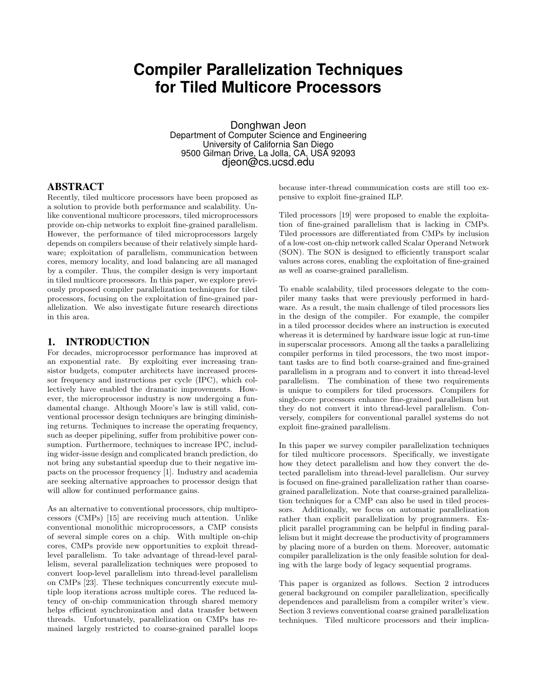# **Compiler Parallelization Techniques for Tiled Multicore Processors**

Donghwan Jeon Department of Computer Science and Engineering University of California San Diego 9500 Gilman Drive, La Jolla, CA, USA 92093 djeon@cs.ucsd.edu

#### ABSTRACT

Recently, tiled multicore processors have been proposed as a solution to provide both performance and scalability. Unlike conventional multicore processors, tiled microprocessors provide on-chip networks to exploit fine-grained parallelism. However, the performance of tiled microprocessors largely depends on compilers because of their relatively simple hardware; exploitation of parallelism, communication between cores, memory locality, and load balancing are all managed by a compiler. Thus, the compiler design is very important in tiled multicore processors. In this paper, we explore previously proposed compiler parallelization techniques for tiled processors, focusing on the exploitation of fine-grained parallelization. We also investigate future research directions in this area.

#### 1. INTRODUCTION

For decades, microprocessor performance has improved at an exponential rate. By exploiting ever increasing transistor budgets, computer architects have increased processor frequency and instructions per cycle (IPC), which collectively have enabled the dramatic improvements. However, the microprocessor industry is now undergoing a fundamental change. Although Moore's law is still valid, conventional processor design techniques are bringing diminishing returns. Techniques to increase the operating frequency, such as deeper pipelining, suffer from prohibitive power consumption. Furthermore, techniques to increase IPC, including wider-issue design and complicated branch prediction, do not bring any substantial speedup due to their negative impacts on the processor frequency [1]. Industry and academia are seeking alternative approaches to processor design that will allow for continued performance gains.

As an alternative to conventional processors, chip multiprocessors (CMPs) [15] are receiving much attention. Unlike conventional monolithic microprocessors, a CMP consists of several simple cores on a chip. With multiple on-chip cores, CMPs provide new opportunities to exploit threadlevel parallelism. To take advantage of thread-level parallelism, several parallelization techniques were proposed to convert loop-level parallelism into thread-level parallelism on CMPs [23]. These techniques concurrently execute multiple loop iterations across multiple cores. The reduced latency of on-chip communication through shared memory helps efficient synchronization and data transfer between threads. Unfortunately, parallelization on CMPs has remained largely restricted to coarse-grained parallel loops

because inter-thread communication costs are still too expensive to exploit fine-grained ILP.

Tiled processors [19] were proposed to enable the exploitation of fine-grained parallelism that is lacking in CMPs. Tiled processors are differentiated from CMPs by inclusion of a low-cost on-chip network called Scalar Operand Network (SON). The SON is designed to efficiently transport scalar values across cores, enabling the exploitation of fine-grained as well as coarse-grained parallelism.

To enable scalability, tiled processors delegate to the compiler many tasks that were previously performed in hardware. As a result, the main challenge of tiled processors lies in the design of the compiler. For example, the compiler in a tiled processor decides where an instruction is executed whereas it is determined by hardware issue logic at run-time in superscalar processors. Among all the tasks a parallelizing compiler performs in tiled processors, the two most important tasks are to find both coarse-grained and fine-grained parallelism in a program and to convert it into thread-level parallelism. The combination of these two requirements is unique to compilers for tiled processors. Compilers for single-core processors enhance fine-grained parallelism but they do not convert it into thread-level parallelism. Conversely, compilers for conventional parallel systems do not exploit fine-grained parallelism.

In this paper we survey compiler parallelization techniques for tiled multicore processors. Specifically, we investigate how they detect parallelism and how they convert the detected parallelism into thread-level parallelism. Our survey is focused on fine-grained parallelization rather than coarsegrained parallelization. Note that coarse-grained parallelization techniques for a CMP can also be used in tiled processors. Additionally, we focus on automatic parallelization rather than explicit parallelization by programmers. Explicit parallel programming can be helpful in finding parallelism but it might decrease the productivity of programmers by placing more of a burden on them. Moreover, automatic compiler parallelization is the only feasible solution for dealing with the large body of legacy sequential programs.

This paper is organized as follows. Section 2 introduces general background on compiler parallelization, specifically dependences and parallelism from a compiler writer's view. Section 3 reviews conventional coarse grained parallelization techniques. Tiled multicore processors and their implica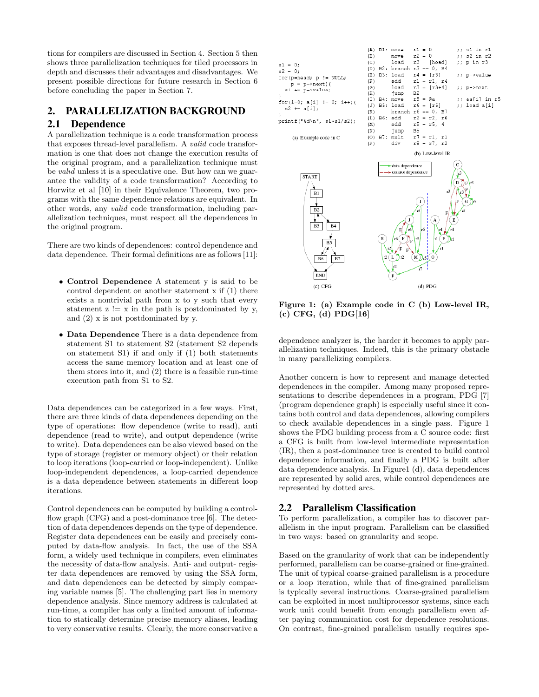tions for compilers are discussed in Section 4. Section 5 then shows three parallelization techniques for tiled processors in depth and discusses their advantages and disadvantages. We present possible directions for future research in Section 6 before concluding the paper in Section 7.

# 2. PARALLELIZATION BACKGROUND

## 2.1 Dependence

A parallelization technique is a code transformation process that exposes thread-level parallelism. A valid code transformation is one that does not change the execution results of the original program, and a parallelization technique must be valid unless it is a speculative one. But how can we guarantee the validity of a code transformation? According to Horwitz et al [10] in their Equivalence Theorem, two programs with the same dependence relations are equivalent. In other words, any valid code transformation, including parallelization techniques, must respect all the dependences in the original program.

There are two kinds of dependences: control dependence and data dependence. Their formal definitions are as follows [11]:

- Control Dependence A statement y is said to be control dependent on another statement x if (1) there exists a nontrivial path from x to y such that every statement  $z \equiv x$  in the path is postdominated by y, and (2) x is not postdominated by y.
- Data Dependence There is a data dependence from statement S1 to statement S2 (statement S2 depends on statement S1) if and only if (1) both statements access the same memory location and at least one of them stores into it, and (2) there is a feasible run-time execution path from S1 to S2.

Data dependences can be categorized in a few ways. First, there are three kinds of data dependences depending on the type of operations: flow dependence (write to read), anti dependence (read to write), and output dependence (write to write). Data dependences can be also viewed based on the type of storage (register or memory object) or their relation to loop iterations (loop-carried or loop-independent). Unlike loop-independent dependences, a loop-carried dependence is a data dependence between statements in different loop iterations.

Control dependences can be computed by building a controlflow graph (CFG) and a post-dominance tree [6]. The detection of data dependences depends on the type of dependence. Register data dependences can be easily and precisely computed by data-flow analysis. In fact, the use of the SSA form, a widely used technique in compilers, even eliminates the necessity of data-flow analysis. Anti- and output- register data dependences are removed by using the SSA form, and data dependences can be detected by simply comparing variable names [5]. The challenging part lies in memory dependence analysis. Since memory address is calculated at run-time, a compiler has only a limited amount of information to statically determine precise memory aliases, leading to very conservative results. Clearly, the more conservative a



Figure 1: (a) Example code in C (b) Low-level IR, (c) CFG, (d) PDG[16]

dependence analyzer is, the harder it becomes to apply parallelization techniques. Indeed, this is the primary obstacle in many parallelizing compilers.

Another concern is how to represent and manage detected dependences in the compiler. Among many proposed representations to describe dependences in a program, PDG [7] (program dependence graph) is especially useful since it contains both control and data dependences, allowing compilers to check available dependences in a single pass. Figure 1 shows the PDG building process from a C source code: first a CFG is built from low-level intermediate representation (IR), then a post-dominance tree is created to build control dependence information, and finally a PDG is built after data dependence analysis. In Figure1 (d), data dependences are represented by solid arcs, while control dependences are represented by dotted arcs.

#### 2.2 Parallelism Classification

To perform parallelization, a compiler has to discover parallelism in the input program. Parallelism can be classified in two ways: based on granularity and scope.

Based on the granularity of work that can be independently performed, parallelism can be coarse-grained or fine-grained. The unit of typical coarse-grained parallelism is a procedure or a loop iteration, while that of fine-grained parallelism is typically several instructions. Coarse-grained parallelism can be exploited in most multiprocessor systems, since each work unit could benefit from enough parallelism even after paying communication cost for dependence resolutions. On contrast, fine-grained parallelism usually requires spe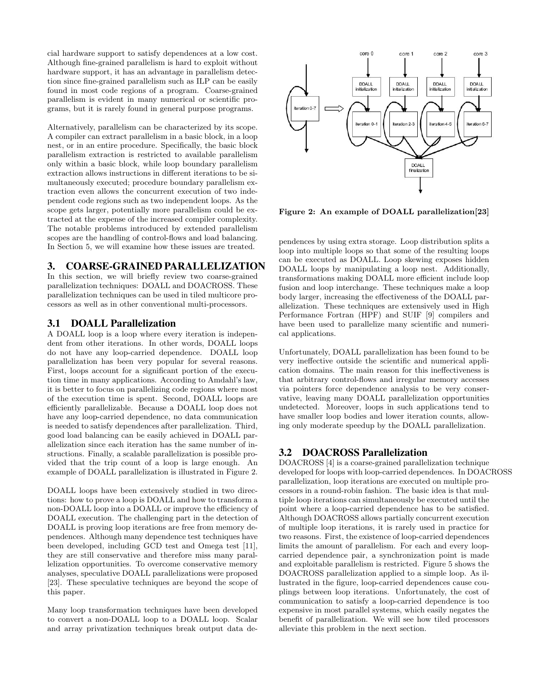cial hardware support to satisfy dependences at a low cost. Although fine-grained parallelism is hard to exploit without hardware support, it has an advantage in parallelism detection since fine-grained parallelism such as ILP can be easily found in most code regions of a program. Coarse-grained parallelism is evident in many numerical or scientific programs, but it is rarely found in general purpose programs.

Alternatively, parallelism can be characterized by its scope. A compiler can extract parallelism in a basic block, in a loop nest, or in an entire procedure. Specifically, the basic block parallelism extraction is restricted to available parallelism only within a basic block, while loop boundary parallelism extraction allows instructions in different iterations to be simultaneously executed; procedure boundary parallelism extraction even allows the concurrent execution of two independent code regions such as two independent loops. As the scope gets larger, potentially more parallelism could be extracted at the expense of the increased compiler complexity. The notable problems introduced by extended parallelism scopes are the handling of control-flows and load balancing. In Section 5, we will examine how these issues are treated.

#### 3. COARSE-GRAINED PARALLELIZATION

In this section, we will briefly review two coarse-grained parallelization techniques: DOALL and DOACROSS. These parallelization techniques can be used in tiled multicore processors as well as in other conventional multi-processors.

# 3.1 DOALL Parallelization

A DOALL loop is a loop where every iteration is independent from other iterations. In other words, DOALL loops do not have any loop-carried dependence. DOALL loop parallelization has been very popular for several reasons. First, loops account for a significant portion of the execution time in many applications. According to Amdahl's law, it is better to focus on parallelizing code regions where most of the execution time is spent. Second, DOALL loops are efficiently parallelizable. Because a DOALL loop does not have any loop-carried dependence, no data communication is needed to satisfy dependences after parallelization. Third, good load balancing can be easily achieved in DOALL parallelization since each iteration has the same number of instructions. Finally, a scalable parallelization is possible provided that the trip count of a loop is large enough. An example of DOALL parallelization is illustrated in Figure 2.

DOALL loops have been extensively studied in two directions: how to prove a loop is DOALL and how to transform a non-DOALL loop into a DOALL or improve the efficiency of DOALL execution. The challenging part in the detection of DOALL is proving loop iterations are free from memory dependences. Although many dependence test techniques have been developed, including GCD test and Omega test [11], they are still conservative and therefore miss many parallelization opportunities. To overcome conservative memory analyses, speculative DOALL parallelizations were proposed [23]. These speculative techniques are beyond the scope of this paper.

Many loop transformation techniques have been developed to convert a non-DOALL loop to a DOALL loop. Scalar and array privatization techniques break output data de-



Figure 2: An example of DOALL parallelization[23]

pendences by using extra storage. Loop distribution splits a loop into multiple loops so that some of the resulting loops can be executed as DOALL. Loop skewing exposes hidden DOALL loops by manipulating a loop nest. Additionally, transformations making DOALL more efficient include loop fusion and loop interchange. These techniques make a loop body larger, increasing the effectiveness of the DOALL parallelization. These techniques are extensively used in High Performance Fortran (HPF) and SUIF [9] compilers and have been used to parallelize many scientific and numerical applications.

Unfortunately, DOALL parallelization has been found to be very ineffective outside the scientific and numerical application domains. The main reason for this ineffectiveness is that arbitrary control-flows and irregular memory accesses via pointers force dependence analysis to be very conservative, leaving many DOALL parallelization opportunities undetected. Moreover, loops in such applications tend to have smaller loop bodies and lower iteration counts, allowing only moderate speedup by the DOALL parallelization.

## 3.2 DOACROSS Parallelization

DOACROSS [4] is a coarse-grained parallelization technique developed for loops with loop-carried dependences. In DOACROSS parallelization, loop iterations are executed on multiple processors in a round-robin fashion. The basic idea is that multiple loop iterations can simultaneously be executed until the point where a loop-carried dependence has to be satisfied. Although DOACROSS allows partially concurrent execution of multiple loop iterations, it is rarely used in practice for two reasons. First, the existence of loop-carried dependences limits the amount of parallelism. For each and every loopcarried dependence pair, a synchronization point is made and exploitable parallelism is restricted. Figure 5 shows the DOACROSS parallelization applied to a simple loop. As illustrated in the figure, loop-carried dependences cause couplings between loop iterations. Unfortunately, the cost of communication to satisfy a loop-carried dependence is too expensive in most parallel systems, which easily negates the benefit of parallelization. We will see how tiled processors alleviate this problem in the next section.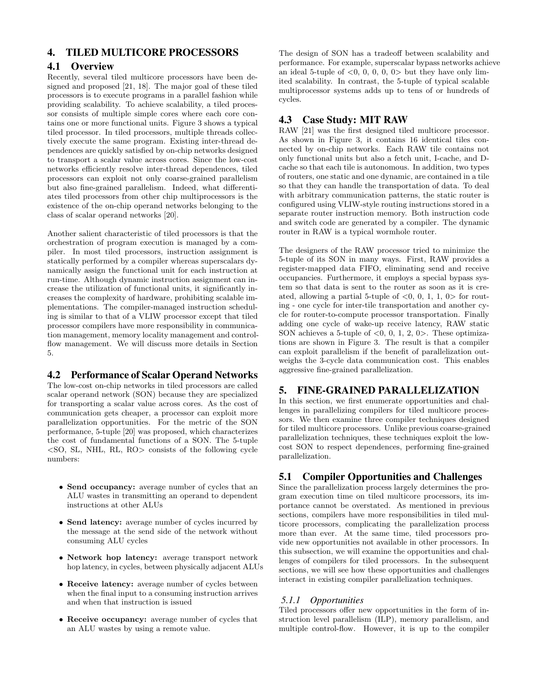# 4. TILED MULTICORE PROCESSORS

## 4.1 Overview

Recently, several tiled multicore processors have been designed and proposed [21, 18]. The major goal of these tiled processors is to execute programs in a parallel fashion while providing scalability. To achieve scalability, a tiled processor consists of multiple simple cores where each core contains one or more functional units. Figure 3 shows a typical tiled processor. In tiled processors, multiple threads collectively execute the same program. Existing inter-thread dependences are quickly satisfied by on-chip networks designed to transport a scalar value across cores. Since the low-cost networks efficiently resolve inter-thread dependences, tiled processors can exploit not only coarse-grained parallelism but also fine-grained parallelism. Indeed, what differentiates tiled processors from other chip multiprocessors is the existence of the on-chip operand networks belonging to the class of scalar operand networks [20].

Another salient characteristic of tiled processors is that the orchestration of program execution is managed by a compiler. In most tiled processors, instruction assignment is statically performed by a compiler whereas superscalars dynamically assign the functional unit for each instruction at run-time. Although dynamic instruction assignment can increase the utilization of functional units, it significantly increases the complexity of hardware, prohibiting scalable implementations. The compiler-managed instruction scheduling is similar to that of a VLIW processor except that tiled processor compilers have more responsibility in communication management, memory locality management and controlflow management. We will discuss more details in Section 5.

## 4.2 Performance of Scalar Operand Networks

The low-cost on-chip networks in tiled processors are called scalar operand network (SON) because they are specialized for transporting a scalar value across cores. As the cost of communication gets cheaper, a processor can exploit more parallelization opportunities. For the metric of the SON performance, 5-tuple [20] was proposed, which characterizes the cost of fundamental functions of a SON. The 5-tuple  $\langle$ SO, SL, NHL, RL, RO $>$  consists of the following cycle numbers:

- Send occupancy: average number of cycles that an ALU wastes in transmitting an operand to dependent instructions at other ALUs
- Send latency: average number of cycles incurred by the message at the send side of the network without consuming ALU cycles
- Network hop latency: average transport network hop latency, in cycles, between physically adjacent ALUs
- Receive latency: average number of cycles between when the final input to a consuming instruction arrives and when that instruction is issued
- Receive occupancy: average number of cycles that an ALU wastes by using a remote value.

The design of SON has a tradeoff between scalability and performance. For example, superscalar bypass networks achieve an ideal 5-tuple of  $\langle 0, 0, 0, 0, 0 \rangle$  but they have only limited scalability. In contrast, the 5-tuple of typical scalable multiprocessor systems adds up to tens of or hundreds of cycles.

## 4.3 Case Study: MIT RAW

RAW [21] was the first designed tiled multicore processor. As shown in Figure 3, it contains 16 identical tiles connected by on-chip networks. Each RAW tile contains not only functional units but also a fetch unit, I-cache, and Dcache so that each tile is autonomous. In addition, two types of routers, one static and one dynamic, are contained in a tile so that they can handle the transportation of data. To deal with arbitrary communication patterns, the static router is configured using VLIW-style routing instructions stored in a separate router instruction memory. Both instruction code and switch code are generated by a compiler. The dynamic router in RAW is a typical wormhole router.

The designers of the RAW processor tried to minimize the 5-tuple of its SON in many ways. First, RAW provides a register-mapped data FIFO, eliminating send and receive occupancies. Furthermore, it employs a special bypass system so that data is sent to the router as soon as it is created, allowing a partial 5-tuple of  $\langle 0, 0, 1, 1, 0 \rangle$  for routing - one cycle for inter-tile transportation and another cycle for router-to-compute processor transportation. Finally adding one cycle of wake-up receive latency, RAW static SON achieves a 5-tuple of  $<0$ , 0, 1, 2, 0>. These optimizations are shown in Figure 3. The result is that a compiler can exploit parallelism if the benefit of parallelization outweighs the 3-cycle data communication cost. This enables aggressive fine-grained parallelization.

# 5. FINE-GRAINED PARALLELIZATION

In this section, we first enumerate opportunities and challenges in parallelizing compilers for tiled multicore processors. We then examine three compiler techniques designed for tiled multicore processors. Unlike previous coarse-grained parallelization techniques, these techniques exploit the lowcost SON to respect dependences, performing fine-grained parallelization.

## 5.1 Compiler Opportunities and Challenges

Since the parallelization process largely determines the program execution time on tiled multicore processors, its importance cannot be overstated. As mentioned in previous sections, compilers have more responsibilities in tiled multicore processors, complicating the parallelization process more than ever. At the same time, tiled processors provide new opportunities not available in other processors. In this subsection, we will examine the opportunities and challenges of compilers for tiled processors. In the subsequent sections, we will see how these opportunities and challenges interact in existing compiler parallelization techniques.

# *5.1.1 Opportunities*

Tiled processors offer new opportunities in the form of instruction level parallelism (ILP), memory parallelism, and multiple control-flow. However, it is up to the compiler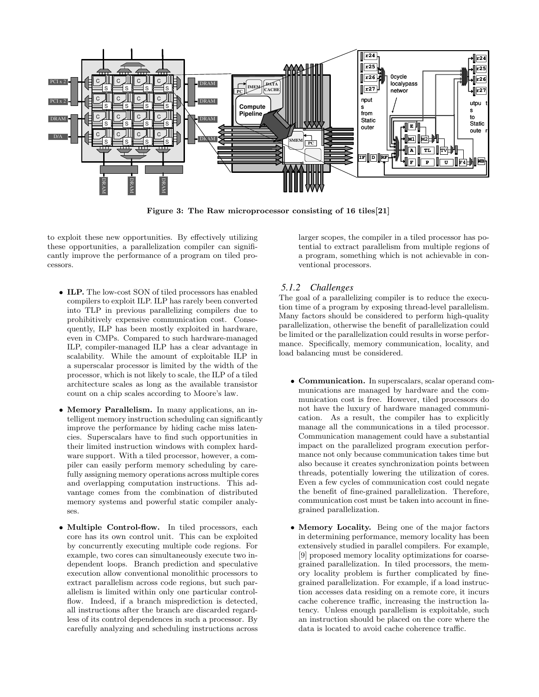

Figure 3: The Raw microprocessor consisting of 16 tiles[21]

to exploit these new opportunities. By effectively utilizing these opportunities, a parallelization compiler can significantly improve the performance of a program on tiled processors.

- ILP. The low-cost SON of tiled processors has enabled compilers to exploit ILP. ILP has rarely been converted into TLP in previous parallelizing compilers due to prohibitively expensive communication cost. Consequently, ILP has been mostly exploited in hardware, even in CMPs. Compared to such hardware-managed ILP, compiler-managed ILP has a clear advantage in scalability. While the amount of exploitable ILP in a superscalar processor is limited by the width of the processor, which is not likely to scale, the ILP of a tiled architecture scales as long as the available transistor count on a chip scales according to Moore's law.
- Memory Parallelism. In many applications, an intelligent memory instruction scheduling can significantly improve the performance by hiding cache miss latencies. Superscalars have to find such opportunities in their limited instruction windows with complex hardware support. With a tiled processor, however, a compiler can easily perform memory scheduling by carefully assigning memory operations across multiple cores and overlapping computation instructions. This advantage comes from the combination of distributed memory systems and powerful static compiler analyses.
- Multiple Control-flow. In tiled processors, each core has its own control unit. This can be exploited by concurrently executing multiple code regions. For example, two cores can simultaneously execute two independent loops. Branch prediction and speculative execution allow conventional monolithic processors to extract parallelism across code regions, but such parallelism is limited within only one particular controlflow. Indeed, if a branch misprediction is detected, all instructions after the branch are discarded regardless of its control dependences in such a processor. By carefully analyzing and scheduling instructions across

larger scopes, the compiler in a tiled processor has potential to extract parallelism from multiple regions of a program, something which is not achievable in conventional processors.

## *5.1.2 Challenges*

The goal of a parallelizing compiler is to reduce the execution time of a program by exposing thread-level parallelism. Many factors should be considered to perform high-quality parallelization, otherwise the benefit of parallelization could be limited or the parallelization could results in worse performance. Specifically, memory communication, locality, and load balancing must be considered.

- Communication. In superscalars, scalar operand communications are managed by hardware and the communication cost is free. However, tiled processors do not have the luxury of hardware managed communication. As a result, the compiler has to explicitly manage all the communications in a tiled processor. Communication management could have a substantial impact on the parallelized program execution performance not only because communication takes time but also because it creates synchronization points between threads, potentially lowering the utilization of cores. Even a few cycles of communication cost could negate the benefit of fine-grained parallelization. Therefore, communication cost must be taken into account in finegrained parallelization.
- Memory Locality. Being one of the major factors in determining performance, memory locality has been extensively studied in parallel compilers. For example, [9] proposed memory locality optimizations for coarsegrained parallelization. In tiled processors, the memory locality problem is further complicated by finegrained parallelization. For example, if a load instruction accesses data residing on a remote core, it incurs cache coherence traffic, increasing the instruction latency. Unless enough parallelism is exploitable, such an instruction should be placed on the core where the data is located to avoid cache coherence traffic.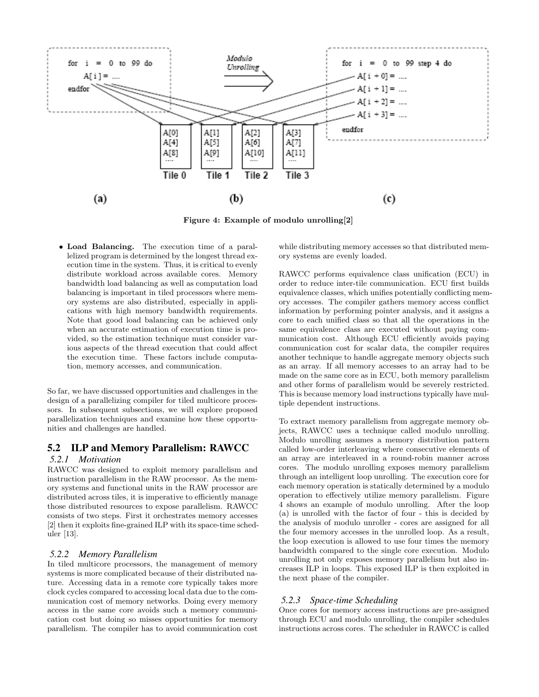

Figure 4: Example of modulo unrolling[2]

• Load Balancing. The execution time of a parallelized program is determined by the longest thread execution time in the system. Thus, it is critical to evenly distribute workload across available cores. Memory bandwidth load balancing as well as computation load balancing is important in tiled processors where memory systems are also distributed, especially in applications with high memory bandwidth requirements. Note that good load balancing can be achieved only when an accurate estimation of execution time is provided, so the estimation technique must consider various aspects of the thread execution that could affect the execution time. These factors include computation, memory accesses, and communication.

So far, we have discussed opportunities and challenges in the design of a parallelizing compiler for tiled multicore processors. In subsequent subsections, we will explore proposed parallelization techniques and examine how these opportunities and challenges are handled.

## 5.2 ILP and Memory Parallelism: RAWCC

#### *5.2.1 Motivation*

RAWCC was designed to exploit memory parallelism and instruction parallelism in the RAW processor. As the memory systems and functional units in the RAW processor are distributed across tiles, it is imperative to efficiently manage those distributed resources to expose parallelism. RAWCC consists of two steps. First it orchestrates memory accesses [2] then it exploits fine-grained ILP with its space-time scheduler [13].

#### *5.2.2 Memory Parallelism*

In tiled multicore processors, the management of memory systems is more complicated because of their distributed nature. Accessing data in a remote core typically takes more clock cycles compared to accessing local data due to the communication cost of memory networks. Doing every memory access in the same core avoids such a memory communication cost but doing so misses opportunities for memory parallelism. The compiler has to avoid communication cost while distributing memory accesses so that distributed memory systems are evenly loaded.

RAWCC performs equivalence class unification (ECU) in order to reduce inter-tile communication. ECU first builds equivalence classes, which unifies potentially conflicting memory accesses. The compiler gathers memory access conflict information by performing pointer analysis, and it assigns a core to each unified class so that all the operations in the same equivalence class are executed without paying communication cost. Although ECU efficiently avoids paying communication cost for scalar data, the compiler requires another technique to handle aggregate memory objects such as an array. If all memory accesses to an array had to be made on the same core as in ECU, both memory parallelism and other forms of parallelism would be severely restricted. This is because memory load instructions typically have multiple dependent instructions.

To extract memory parallelism from aggregate memory objects, RAWCC uses a technique called modulo unrolling. Modulo unrolling assumes a memory distribution pattern called low-order interleaving where consecutive elements of an array are interleaved in a round-robin manner across cores. The modulo unrolling exposes memory parallelism through an intelligent loop unrolling. The execution core for each memory operation is statically determined by a modulo operation to effectively utilize memory parallelism. Figure 4 shows an example of modulo unrolling. After the loop (a) is unrolled with the factor of four - this is decided by the analysis of modulo unroller - cores are assigned for all the four memory accesses in the unrolled loop. As a result, the loop execution is allowed to use four times the memory bandwidth compared to the single core execution. Modulo unrolling not only exposes memory parallelism but also increases ILP in loops. This exposed ILP is then exploited in the next phase of the compiler.

## *5.2.3 Space-time Scheduling*

Once cores for memory access instructions are pre-assigned through ECU and modulo unrolling, the compiler schedules instructions across cores. The scheduler in RAWCC is called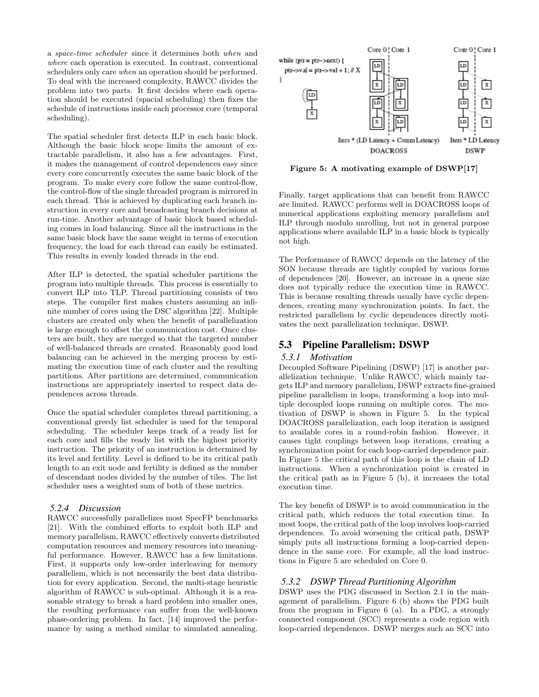a space-time scheduler since it determines both when and where each operation is executed. In contrast, conventional schedulers only care when an operation should be performed. To deal with the increased complexity, RAWCC divides the problem into two parts. It first decides where each operation should be executed (spacial scheduling) then fixes the schedule of instructions inside each processor core (temporal scheduling).

The spatial scheduler first detects ILP in each basic block. Although the basic block scope limits the amount of extractable parallelism, it also has a few advantages. First, it makes the management of control dependences easy since every core concurrently executes the same basic block of the program. To make every core follow the same control-flow, the control-flow of the single threaded program is mirrored in each thread. This is achieved by duplicating each branch instruction in every core and broadcasting branch decisions at run-time. Another advantage of basic block based scheduling comes in load balancing. Since all the instructions in the same basic block have the same weight in terms of execution frequency, the load for each thread can easily be estimated. This results in evenly loaded threads in the end.

After ILP is detected, the spatial scheduler partitions the program into multiple threads. This process is essentially to convert ILP into TLP. Thread partitioning consists of two steps. The compiler first makes clusters assuming an infinite number of cores using the DSC algorithm [22]. Multiple clusters are created only when the benefit of parallelization is large enough to offset the communication cost. Once clusters are built, they are merged so that the targeted number of well-balanced threads are created. Reasonably good load balancing can be achieved in the merging process by estimating the execution time of each cluster and the resulting partitions. After partitions are determined, communication instructions are appropriately inserted to respect data dependences across threads.

Once the spatial scheduler completes thread partitioning, a conventional greedy list scheduler is used for the temporal scheduling. The scheduler keeps track of a ready list for each core and fills the ready list with the highest priority instruction. The priority of an instruction is determined by its level and fertility. Level is defined to be its critical path length to an exit node and fertility is defined as the number of descendant nodes divided by the number of tiles. The list scheduler uses a weighted sum of both of these metrics.

#### *5.2.4 Discussion*

RAWCC successfully parallelizes most SpecFP benchmarks [21]. With the combined efforts to exploit both ILP and memory parallelism, RAWCC effectively converts distributed computation resources and memory resources into meaningful performance. However, RAWCC has a few limitations. First, it supports only low-order interleaving for memory parallelism, which is not necessarily the best data distribution for every application. Second, the multi-stage heuristic algorithm of RAWCC is sub-optimal. Although it is a reasonable strategy to break a hard problem into smaller ones, the resulting performance can suffer from the well-known phase-ordering problem. In fact, [14] improved the performance by using a method similar to simulated annealing.



Figure 5: A motivating example of DSWP[17]

Finally, target applications that can benefit from RAWCC are limited. RAWCC performs well in DOACROSS loops of numerical applications exploiting memory parallelism and ILP through modulo unrolling, but not in general purpose applications where available ILP in a basic block is typically not high.

The Performance of RAWCC depends on the latency of the SON because threads are tightly coupled by various forms of dependences [20]. However, an increase in a queue size does not typically reduce the execution time in RAWCC. This is because resulting threads usually have cyclic dependences, creating many synchronization points. In fact, the restricted parallelism by cyclic dependences directly motivates the next parallelization technique, DSWP.

#### 5.3 Pipeline Parallelism: DSWP

#### *5.3.1 Motivation*

Decoupled Software Pipelining (DSWP) [17] is another parallelization technique. Unlike RAWCC, which mainly targets ILP and memory parallelism, DSWP extracts fine-grained pipeline parallelism in loops, transforming a loop into multiple decoupled loops running on multiple cores. The motivation of DSWP is shown in Figure 5. In the typical DOACROSS parallelization, each loop iteration is assigned to available cores in a round-robin fashion. However, it causes tight couplings between loop iterations, creating a synchronization point for each loop-carried dependence pair. In Figure 5 the critical path of this loop is the chain of LD instructions. When a synchronization point is created in the critical path as in Figure 5 (b), it increases the total execution time.

The key benefit of DSWP is to avoid communication in the critical path, which reduces the total execution time. In most loops, the critical path of the loop involves loop-carried dependences. To avoid worsening the critical path, DSWP simply puts all instructions forming a loop-carried dependence in the same core. For example, all the load instructions in Figure 5 are scheduled on Core 0.

#### *5.3.2 DSWP Thread Partitioning Algorithm*

DSWP uses the PDG discussed in Section 2.1 in the management of parallelism. Figure 6 (b) shows the PDG built from the program in Figure 6 (a). In a PDG, a strongly connected component (SCC) represents a code region with loop-carried dependences. DSWP merges such an SCC into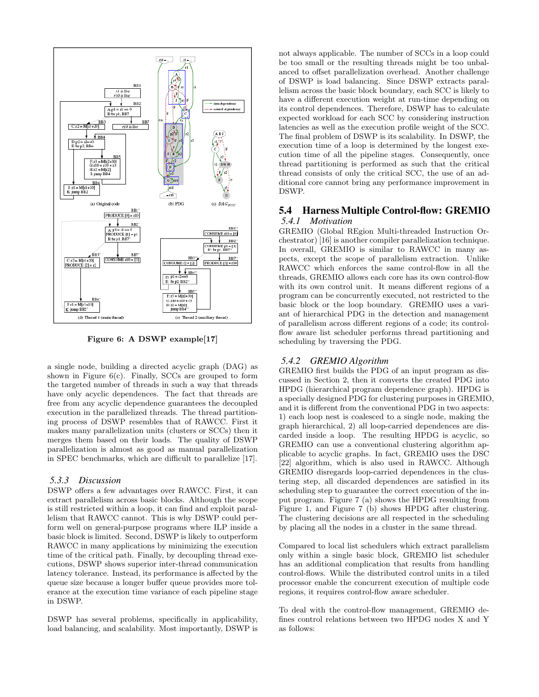

Figure 6: A DSWP example[17]

a single node, building a directed acyclic graph (DAG) as shown in Figure  $6(c)$ . Finally, SCCs are grouped to form the targeted number of threads in such a way that threads have only acyclic dependences. The fact that threads are free from any acyclic dependence guarantees the decoupled execution in the parallelized threads. The thread partitioning process of DSWP resembles that of RAWCC. First it makes many parallelization units (clusters or SCCs) then it merges them based on their loads. The quality of DSWP parallelization is almost as good as manual parallelization in SPEC benchmarks, which are difficult to parallelize [17].

#### *5.3.3 Discussion*

DSWP offers a few advantages over RAWCC. First, it can extract parallelism across basic blocks. Although the scope is still restricted within a loop, it can find and exploit parallelism that RAWCC cannot. This is why DSWP could perform well on general-purpose programs where ILP inside a basic block is limited. Second, DSWP is likely to outperform RAWCC in many applications by minimizing the execution time of the critical path. Finally, by decoupling thread executions, DSWP shows superior inter-thread communication latency tolerance. Instead, its performance is affected by the queue size because a longer buffer queue provides more tolerance at the execution time variance of each pipeline stage in DSWP.

DSWP has several problems, specifically in applicability, load balancing, and scalability. Most importantly, DSWP is not always applicable. The number of SCCs in a loop could be too small or the resulting threads might be too unbalanced to offset parallelization overhead. Another challenge of DSWP is load balancing. Since DSWP extracts parallelism across the basic block boundary, each SCC is likely to have a different execution weight at run-time depending on its control dependences. Therefore, DSWP has to calculate expected workload for each SCC by considering instruction latencies as well as the execution profile weight of the SCC. The final problem of DSWP is its scalability. In DSWP, the execution time of a loop is determined by the longest execution time of all the pipeline stages. Consequently, once thread partitioning is performed as such that the critical thread consists of only the critical SCC, the use of an additional core cannot bring any performance improvement in DSWP.

## 5.4 Harness Multiple Control-flow: GREMIO *5.4.1 Motivation*

GREMIO (Global REgion Multi-threaded Instruction Orchestrator) [16] is another compiler parallelization technique. In overall, GREMIO is similar to RAWCC in many aspects, except the scope of parallelism extraction. Unlike RAWCC which enforces the same control-flow in all the threads, GREMIO allows each core has its own control-flow with its own control unit. It means different regions of a program can be concurrently executed, not restricted to the basic block or the loop boundary. GREMIO uses a variant of hierarchical PDG in the detection and management of parallelism across different regions of a code; its controlflow aware list scheduler performs thread partitioning and scheduling by traversing the PDG.

#### *5.4.2 GREMIO Algorithm*

GREMIO first builds the PDG of an input program as discussed in Section 2, then it converts the created PDG into HPDG (hierarchical program dependence graph). HPDG is a specially designed PDG for clustering purposes in GREMIO, and it is different from the conventional PDG in two aspects: 1) each loop nest is coalesced to a single node, making the graph hierarchical, 2) all loop-carried dependences are discarded inside a loop. The resulting HPDG is acyclic, so GREMIO can use a conventional clustering algorithm applicable to acyclic graphs. In fact, GREMIO uses the DSC [22] algorithm, which is also used in RAWCC. Although GREMIO disregards loop-carried dependences in the clustering step, all discarded dependences are satisfied in its scheduling step to guarantee the correct execution of the input program. Figure 7 (a) shows the HPDG resulting from Figure 1, and Figure 7 (b) shows HPDG after clustering. The clustering decisions are all respected in the scheduling by placing all the nodes in a cluster in the same thread.

Compared to local list schedulers which extract parallelism only within a single basic block, GREMIO list scheduler has an additional complication that results from handling control-flows. While the distributed control units in a tiled processor enable the concurrent execution of multiple code regions, it requires control-flow aware scheduler.

To deal with the control-flow management, GREMIO defines control relations between two HPDG nodes X and Y as follows: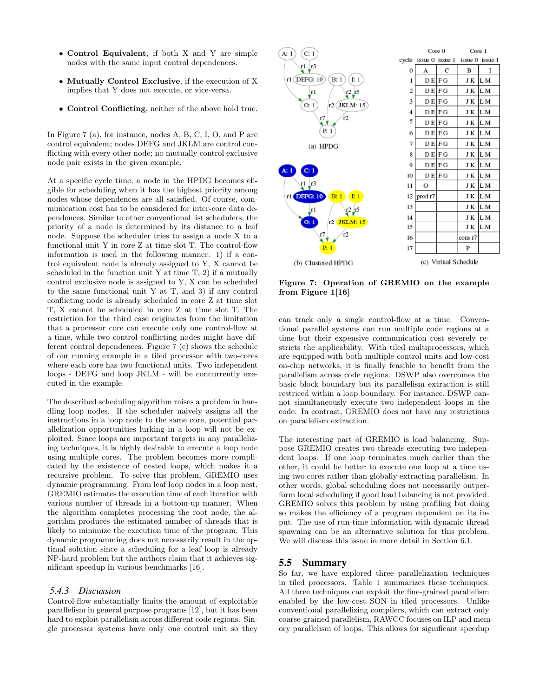- Control Equivalent, if both X and Y are simple nodes with the same input control dependences.
- Mutually Control Exclusive, if the execution of X implies that Y does not execute, or vice-versa.
- Control Conflicting, neither of the above hold true.

In Figure 7 (a), for instance, nodes A, B, C, I, O, and P are control equivalent; nodes DEFG and JKLM are control conflicting with every other node; no mutually control exclusive node pair exists in the given example.

At a specific cycle time, a node in the HPDG becomes eligible for scheduling when it has the highest priority among nodes whose dependences are all satisfied. Of course, communication cost has to be considered for inter-core data dependences. Similar to other conventional list schedulers, the priority of a node is determined by its distance to a leaf node. Suppose the scheduler tries to assign a node X to a functional unit Y in core Z at time slot T. The control-flow information is used in the following manner: 1) if a control equivalent node is already assigned to Y, X cannot be scheduled in the function unit Y at time  $T$ , 2) if a mutually control exclusive node is assigned to Y, X can be scheduled to the same functional unit Y at T, and 3) if any control conflicting node is already scheduled in core Z at time slot T, X cannot be scheduled in core Z at time slot T. The restriction for the third case originates from the limitation that a processor core can execute only one control-flow at a time, while two control conflicting nodes might have different control dependences. Figure 7 (c) shows the schedule of our running example in a tiled processor with two-cores where each core has two functional units. Two independent loops - DEFG and loop JKLM - will be concurrently executed in the example.

The described scheduling algorithm raises a problem in handling loop nodes. If the scheduler naively assigns all the instructions in a loop node to the same core, potential parallelization opportunities lurking in a loop will not be exploited. Since loops are important targets in any parallelizing techniques, it is highly desirable to execute a loop node using multiple cores. The problem becomes more complicated by the existence of nested loops, which makes it a recursive problem. To solve this problem, GREMIO uses dynamic programming. From leaf loop nodes in a loop nest, GREMIO estimates the execution time of each iteration with various number of threads in a bottom-up manner. When the algorithm completes processing the root node, the algorithm produces the estimated number of threads that is likely to minimize the execution time of the program. This dynamic programming does not necessarily result in the optimal solution since a scheduling for a leaf loop is already NP-hard problem but the authors claim that it achieves significant speedup in various benchmarks [16].

#### *5.4.3 Discussion*

Control-flow substantially limits the amount of exploitable parallelism in general purpose programs [12], but it has been hard to exploit parallelism across different code regions. Single processor systems have only one control unit so they



Figure 7: Operation of GREMIO on the example from Figure 1[16]

can track only a single control-flow at a time. Conventional parallel systems can run multiple code regions at a time but their expensive communication cost severely restricts the applicability. With tiled multiprocessors, which are equipped with both multiple control units and low-cost on-chip networks, it is finally feasible to benefit from the parallelism across code regions. DSWP also overcomes the basic block boundary but its parallelism extraction is still restriced within a loop boundary. For instance, DSWP cannot simultaneously execute two independent loops in the code. In contrast, GREMIO does not have any restrictions on parallelism extraction.

The interesting part of GREMIO is load balancing. Suppose GREMIO creates two threads executing two independent loops. If one loop terminates much earlier than the other, it could be better to execute one loop at a time using two cores rather than globally extracting parallelism. In other words, global scheduling does not necessarily outperform local scheduling if good load balancing is not provided. GREMIO solves this problem by using profiling but doing so makes the efficiency of a program dependent on its input. The use of run-time information with dynamic thread spawning can be an alternative solution for this problem. We will discuss this issue in more detail in Section 6.1.

#### 5.5 Summary

So far, we have explored three parallelization techniques in tiled processors. Table 1 summarizes these techniques. All three techniques can exploit the fine-grained parallelism enabled by the low-cost SON in tiled processors. Unlike conventional parallelizing compilers, which can extract only coarse-grained parallelism, RAWCC focuses on ILP and memory parallelism of loops. This allows for significant speedup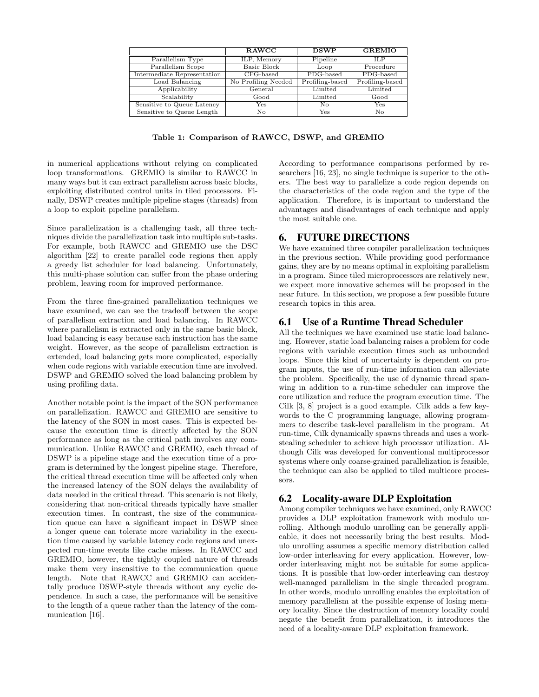|                             | <b>RAWCC</b>        | <b>DSWP</b>     | <b>GREMIO</b>   |
|-----------------------------|---------------------|-----------------|-----------------|
| Parallelism Type            | ILP, Memory         | Pipeline        | <b>ILP</b>      |
| Parallelism Scope           | Basic Block         | Loop            | Procedure       |
| Intermediate Representation | $CFG$ -based        | PDG-based       | PDG-based       |
| Load Balancing              | No Profiling Needed | Profiling-based | Profiling-based |
| Applicability               | General             | Limited         | Limited         |
| Scalability                 | Good                | Limited         | Good            |
| Sensitive to Queue Latency  | Yes                 | No              | Yes             |
| Sensitive to Queue Length   | No                  | Yes             | No              |

Table 1: Comparison of RAWCC, DSWP, and GREMIO

in numerical applications without relying on complicated loop transformations. GREMIO is similar to RAWCC in many ways but it can extract parallelism across basic blocks, exploiting distributed control units in tiled processors. Finally, DSWP creates multiple pipeline stages (threads) from a loop to exploit pipeline parallelism.

Since parallelization is a challenging task, all three techniques divide the parallelization task into multiple sub-tasks. For example, both RAWCC and GREMIO use the DSC algorithm [22] to create parallel code regions then apply a greedy list scheduler for load balancing. Unfortunately, this multi-phase solution can suffer from the phase ordering problem, leaving room for improved performance.

From the three fine-grained parallelization techniques we have examined, we can see the tradeoff between the scope of parallelism extraction and load balancing. In RAWCC where parallelism is extracted only in the same basic block, load balancing is easy because each instruction has the same weight. However, as the scope of parallelism extraction is extended, load balancing gets more complicated, especially when code regions with variable execution time are involved. DSWP and GREMIO solved the load balancing problem by using profiling data.

Another notable point is the impact of the SON performance on parallelization. RAWCC and GREMIO are sensitive to the latency of the SON in most cases. This is expected because the execution time is directly affected by the SON performance as long as the critical path involves any communication. Unlike RAWCC and GREMIO, each thread of DSWP is a pipeline stage and the execution time of a program is determined by the longest pipeline stage. Therefore, the critical thread execution time will be affected only when the increased latency of the SON delays the availability of data needed in the critical thread. This scenario is not likely, considering that non-critical threads typically have smaller execution times. In contrast, the size of the communication queue can have a significant impact in DSWP since a longer queue can tolerate more variability in the execution time caused by variable latency code regions and unexpected run-time events like cache misses. In RAWCC and GREMIO, however, the tightly coupled nature of threads make them very insensitive to the communication queue length. Note that RAWCC and GREMIO can accidentally produce DSWP-style threads without any cyclic dependence. In such a case, the performance will be sensitive to the length of a queue rather than the latency of the communication [16].

According to performance comparisons performed by researchers [16, 23], no single technique is superior to the others. The best way to parallelize a code region depends on the characteristics of the code region and the type of the application. Therefore, it is important to understand the advantages and disadvantages of each technique and apply the most suitable one.

# 6. FUTURE DIRECTIONS

We have examined three compiler parallelization techniques in the previous section. While providing good performance gains, they are by no means optimal in exploiting parallelism in a program. Since tiled microprocessors are relatively new, we expect more innovative schemes will be proposed in the near future. In this section, we propose a few possible future research topics in this area.

## 6.1 Use of a Runtime Thread Scheduler

All the techniques we have examined use static load balancing. However, static load balancing raises a problem for code regions with variable execution times such as unbounded loops. Since this kind of uncertainty is dependent on program inputs, the use of run-time information can alleviate the problem. Specifically, the use of dynamic thread spanwing in addition to a run-time scheduler can improve the core utilization and reduce the program execution time. The Cilk [3, 8] project is a good example. Cilk adds a few keywords to the C programming language, allowing programmers to describe task-level parallelism in the program. At run-time, Cilk dynamically spawns threads and uses a workstealing scheduler to achieve high processor utilization. Although Cilk was developed for conventional multiprocessor systems where only coarse-grained parallelization is feasible, the technique can also be applied to tiled multicore processors.

## 6.2 Locality-aware DLP Exploitation

Among compiler techniques we have examined, only RAWCC provides a DLP exploitation framework with modulo unrolling. Although modulo unrolling can be generally applicable, it does not necessarily bring the best results. Modulo unrolling assumes a specific memory distribution called low-order interleaving for every application. However, loworder interleaving might not be suitable for some applications. It is possible that low-order interleaving can destroy well-managed parallelism in the single threaded program. In other words, modulo unrolling enables the exploitation of memory parallelism at the possible expense of losing memory locality. Since the destruction of memory locality could negate the benefit from parallelization, it introduces the need of a locality-aware DLP exploitation framework.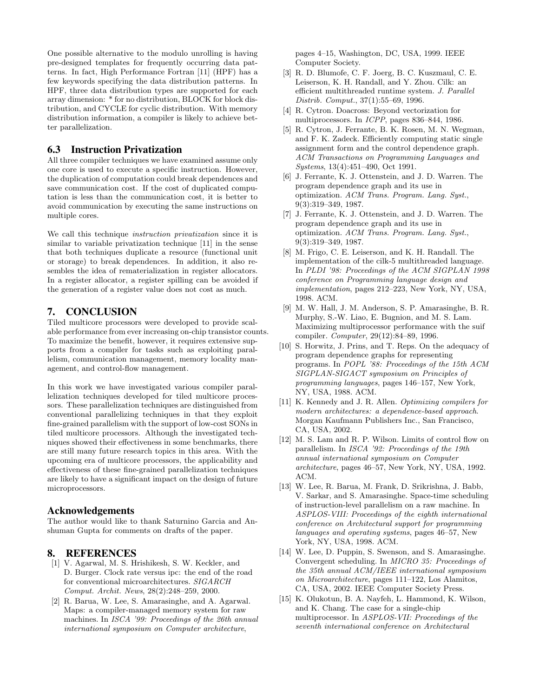One possible alternative to the modulo unrolling is having pre-designed templates for frequently occurring data patterns. In fact, High Performance Fortran [11] (HPF) has a few keywords specifying the data distribution patterns. In HPF, three data distribution types are supported for each array dimension: \* for no distribution, BLOCK for block distribution, and CYCLE for cyclic distribution. With memory distribution information, a compiler is likely to achieve better parallelization.

## 6.3 Instruction Privatization

All three compiler techniques we have examined assume only one core is used to execute a specific instruction. However, the duplication of computation could break dependences and save communication cost. If the cost of duplicated computation is less than the communication cost, it is better to avoid communication by executing the same instructions on multiple cores.

We call this technique instruction privatization since it is similar to variable privatization technique [11] in the sense that both techniques duplicate a resource (functional unit or storage) to break dependences. In addition, it also resembles the idea of rematerialization in register allocators. In a register allocator, a register spilling can be avoided if the generation of a register value does not cost as much.

#### 7. CONCLUSION

Tiled multicore processors were developed to provide scalable performance from ever increasing on-chip transistor counts. To maximize the benefit, however, it requires extensive supports from a compiler for tasks such as exploiting parallelism, communication management, memory locality management, and control-flow management.

In this work we have investigated various compiler parallelization techniques developed for tiled multicore processors. These parallelization techniques are distinguished from conventional parallelizing techniques in that they exploit fine-grained parallelism with the support of low-cost SONs in tiled multicore processors. Although the investigated techniques showed their effectiveness in some benchmarks, there are still many future research topics in this area. With the upcoming era of multicore processors, the applicability and effectiveness of these fine-grained parallelization techniques are likely to have a significant impact on the design of future microprocessors.

#### Acknowledgements

The author would like to thank Saturnino Garcia and Anshuman Gupta for comments on drafts of the paper.

#### 8. REFERENCES

- [1] V. Agarwal, M. S. Hrishikesh, S. W. Keckler, and D. Burger. Clock rate versus ipc: the end of the road for conventional microarchitectures. SIGARCH Comput. Archit. News, 28(2):248–259, 2000.
- [2] R. Barua, W. Lee, S. Amarasinghe, and A. Agarwal. Maps: a compiler-managed memory system for raw machines. In ISCA '99: Proceedings of the 26th annual international symposium on Computer architecture,

pages 4–15, Washington, DC, USA, 1999. IEEE Computer Society.

- [3] R. D. Blumofe, C. F. Joerg, B. C. Kuszmaul, C. E. Leiserson, K. H. Randall, and Y. Zhou. Cilk: an efficient multithreaded runtime system. J. Parallel Distrib. Comput., 37(1):55–69, 1996.
- [4] R. Cytron. Doacross: Beyond vectorization for multiprocessors. In ICPP, pages 836–844, 1986.
- [5] R. Cytron, J. Ferrante, B. K. Rosen, M. N. Wegman, and F. K. Zadeck. Efficiently computing static single assignment form and the control dependence graph. ACM Transactions on Programming Languages and Systems, 13(4):451–490, Oct 1991.
- [6] J. Ferrante, K. J. Ottenstein, and J. D. Warren. The program dependence graph and its use in optimization. ACM Trans. Program. Lang. Syst., 9(3):319–349, 1987.
- [7] J. Ferrante, K. J. Ottenstein, and J. D. Warren. The program dependence graph and its use in optimization. ACM Trans. Program. Lang. Syst., 9(3):319–349, 1987.
- [8] M. Frigo, C. E. Leiserson, and K. H. Randall. The implementation of the cilk-5 multithreaded language. In PLDI '98: Proceedings of the ACM SIGPLAN 1998 conference on Programming language design and implementation, pages 212–223, New York, NY, USA, 1998. ACM.
- [9] M. W. Hall, J. M. Anderson, S. P. Amarasinghe, B. R. Murphy, S.-W. Liao, E. Bugnion, and M. S. Lam. Maximizing multiprocessor performance with the suif compiler. Computer, 29(12):84–89, 1996.
- [10] S. Horwitz, J. Prins, and T. Reps. On the adequacy of program dependence graphs for representing programs. In POPL '88: Proceedings of the 15th ACM SIGPLAN-SIGACT symposium on Principles of programming languages, pages 146–157, New York, NY, USA, 1988. ACM.
- [11] K. Kennedy and J. R. Allen. Optimizing compilers for modern architectures: a dependence-based approach. Morgan Kaufmann Publishers Inc., San Francisco, CA, USA, 2002.
- [12] M. S. Lam and R. P. Wilson. Limits of control flow on parallelism. In ISCA '92: Proceedings of the 19th annual international symposium on Computer architecture, pages 46–57, New York, NY, USA, 1992. ACM.
- [13] W. Lee, R. Barua, M. Frank, D. Srikrishna, J. Babb, V. Sarkar, and S. Amarasinghe. Space-time scheduling of instruction-level parallelism on a raw machine. In ASPLOS-VIII: Proceedings of the eighth international conference on Architectural support for programming languages and operating systems, pages 46–57, New York, NY, USA, 1998. ACM.
- [14] W. Lee, D. Puppin, S. Swenson, and S. Amarasinghe. Convergent scheduling. In MICRO 35: Proceedings of the 35th annual ACM/IEEE international symposium on Microarchitecture, pages 111–122, Los Alamitos, CA, USA, 2002. IEEE Computer Society Press.
- [15] K. Olukotun, B. A. Nayfeh, L. Hammond, K. Wilson, and K. Chang. The case for a single-chip multiprocessor. In ASPLOS-VII: Proceedings of the seventh international conference on Architectural